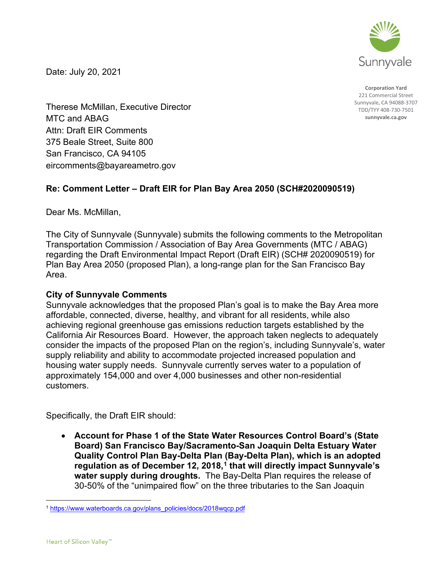

Date: July 20, 2021

**Corporation Yard** 221 Commercial Street Sunnyvale, CA 94088-3707 TDD/TYY 408-730-7501 **sunnyvale.ca.gov**

Therese McMillan, Executive Director MTC and ABAG Attn: Draft EIR Comments 375 Beale Street, Suite 800 San Francisco, CA 94105 eircomments@bayareametro.gov

## **Re: Comment Letter – Draft EIR for Plan Bay Area 2050 (SCH#2020090519)**

Dear Ms. McMillan,

The City of Sunnyvale (Sunnyvale) submits the following comments to the Metropolitan Transportation Commission / Association of Bay Area Governments (MTC / ABAG) regarding the Draft Environmental Impact Report (Draft EIR) (SCH# 2020090519) for Plan Bay Area 2050 (proposed Plan), a long-range plan for the San Francisco Bay Area.

## **City of Sunnyvale Comments**

Sunnyvale acknowledges that the proposed Plan's goal is to make the Bay Area more affordable, connected, diverse, healthy, and vibrant for all residents, while also achieving regional greenhouse gas emissions reduction targets established by the California Air Resources Board. However, the approach taken neglects to adequately consider the impacts of the proposed Plan on the region's, including Sunnyvale's, water supply reliability and ability to accommodate projected increased population and housing water supply needs. Sunnyvale currently serves water to a population of approximately 154,000 and over 4,000 businesses and other non-residential customers.

Specifically, the Draft EIR should:

• **Account for Phase 1 of the State Water Resources Control Board's (State Board) San Francisco Bay/Sacramento-San Joaquin Delta Estuary Water Quality Control Plan Bay-Delta Plan (Bay-Delta Plan), which is an adopted regulation as of December 12, 2018,[1](#page-0-0) that will directly impact Sunnyvale's water supply during droughts.** The Bay-Delta Plan requires the release of 30-50% of the "unimpaired flow" on the three tributaries to the San Joaquin

<span id="page-0-0"></span><sup>1</sup> [https://www.waterboards.ca.gov/plans\\_policies/docs/2018wqcp.pdf](https://www.waterboards.ca.gov/plans_policies/docs/2018wqcp.pdf)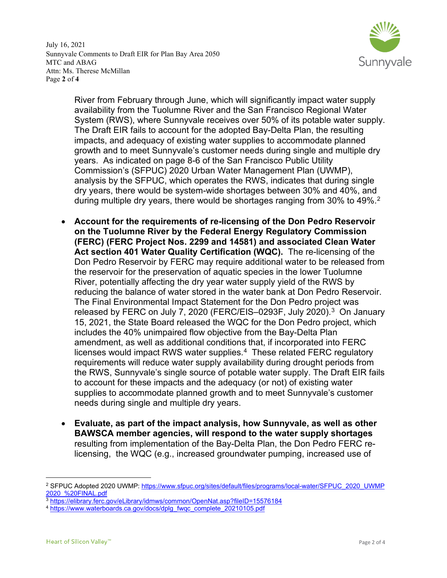July 16, 2021 Sunnyvale Comments to Draft EIR for Plan Bay Area 2050 MTC and ABAG Attn: Ms. Therese McMillan Page **2** of **4**



River from February through June, which will significantly impact water supply availability from the Tuolumne River and the San Francisco Regional Water System (RWS), where Sunnyvale receives over 50% of its potable water supply. The Draft EIR fails to account for the adopted Bay-Delta Plan, the resulting impacts, and adequacy of existing water supplies to accommodate planned growth and to meet Sunnyvale's customer needs during single and multiple dry years. As indicated on page 8-6 of the San Francisco Public Utility Commission's (SFPUC) 2020 Urban Water Management Plan (UWMP), analysis by the SFPUC, which operates the RWS, indicates that during single dry years, there would be system-wide shortages between 30% and 40%, and during multiple dry years, there would be shortages ranging from 30% to 49%.<sup>[2](#page-1-0)</sup>

- **Account for the requirements of re-licensing of the Don Pedro Reservoir on the Tuolumne River by the Federal Energy Regulatory Commission (FERC) (FERC Project Nos. 2299 and 14581) and associated Clean Water Act section 401 Water Quality Certification (WQC).** The re-licensing of the Don Pedro Reservoir by FERC may require additional water to be released from the reservoir for the preservation of aquatic species in the lower Tuolumne River, potentially affecting the dry year water supply yield of the RWS by reducing the balance of water stored in the water bank at Don Pedro Reservoir. The Final Environmental Impact Statement for the Don Pedro project was released by FERC on July 7, 2020 (FERC/EIS-0293F, July 2020).<sup>3</sup> On January 15, 2021, the State Board released the WQC for the Don Pedro project, which includes the 40% unimpaired flow objective from the Bay-Delta Plan amendment, as well as additional conditions that, if incorporated into FERC licenses would impact RWS water supplies.<sup>[4](#page-1-2)</sup> These related FERC regulatory requirements will reduce water supply availability during drought periods from the RWS, Sunnyvale's single source of potable water supply. The Draft EIR fails to account for these impacts and the adequacy (or not) of existing water supplies to accommodate planned growth and to meet Sunnyvale's customer needs during single and multiple dry years.
- **Evaluate, as part of the impact analysis, how Sunnyvale, as well as other BAWSCA member agencies, will respond to the water supply shortages**  resulting from implementation of the Bay-Delta Plan, the Don Pedro FERC relicensing, the WQC (e.g., increased groundwater pumping, increased use of

<span id="page-1-0"></span><sup>2</sup> SFPUC Adopted 2020 UWMP: [https://www.sfpuc.org/sites/default/files/programs/local-water/SFPUC\\_2020\\_UWMP](https://www.sfpuc.org/sites/default/files/programs/local-water/SFPUC_2020_UWMP2020_%20FINAL.pdf)  [2020\\_%20FINAL.pdf](https://www.sfpuc.org/sites/default/files/programs/local-water/SFPUC_2020_UWMP2020_%20FINAL.pdf)

<span id="page-1-1"></span><sup>3</sup> <https://elibrary.ferc.gov/eLibrary/idmws/common/OpenNat.asp?fileID=15576184>

<span id="page-1-2"></span><sup>&</sup>lt;sup>4</sup> [https://www.waterboards.ca.gov/docs/dplg\\_fwqc\\_complete\\_20210105.pdf](https://www.waterboards.ca.gov/docs/dplg_fwqc_complete_20210105.pdf)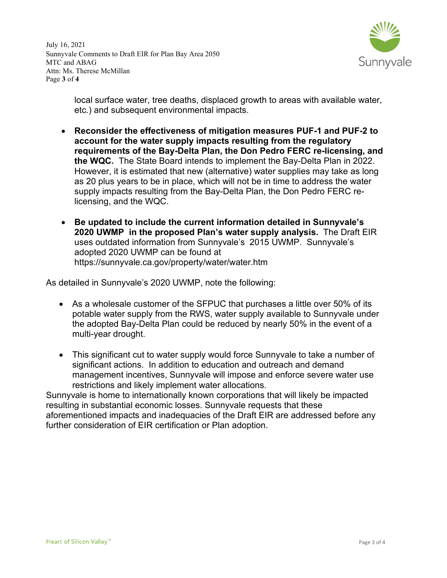July 16, 2021 Sunnyvale Comments to Draft EIR for Plan Bay Area 2050 MTC and ABAG Attn: Ms. Therese McMillan Page **3** of **4**



local surface water, tree deaths, displaced growth to areas with available water, etc.) and subsequent environmental impacts.

- **Reconsider the effectiveness of mitigation measures PUF-1 and PUF-2 to account for the water supply impacts resulting from the regulatory requirements of the Bay-Delta Plan, the Don Pedro FERC re-licensing, and the WQC.** The State Board intends to implement the Bay-Delta Plan in 2022. However, it is estimated that new (alternative) water supplies may take as long as 20 plus years to be in place, which will not be in time to address the water supply impacts resulting from the Bay-Delta Plan, the Don Pedro FERC relicensing, and the WQC.
- **Be updated to include the current information detailed in Sunnyvale's 2020 UWMP in the proposed Plan's water supply analysis.** The Draft EIR uses outdated information from Sunnyvale's 2015 UWMP. Sunnyvale's adopted 2020 UWMP can be found at https://sunnyvale.ca.gov/property/water/water.htm

As detailed in Sunnyvale's 2020 UWMP, note the following:

- As a wholesale customer of the SFPUC that purchases a little over 50% of its potable water supply from the RWS, water supply available to Sunnyvale under the adopted Bay-Delta Plan could be reduced by nearly 50% in the event of a multi-year drought.
- This significant cut to water supply would force Sunnyvale to take a number of significant actions. In addition to education and outreach and demand management incentives, Sunnyvale will impose and enforce severe water use restrictions and likely implement water allocations.

Sunnyvale is home to internationally known corporations that will likely be impacted resulting in substantial economic losses. Sunnyvale requests that these aforementioned impacts and inadequacies of the Draft EIR are addressed before any further consideration of EIR certification or Plan adoption.